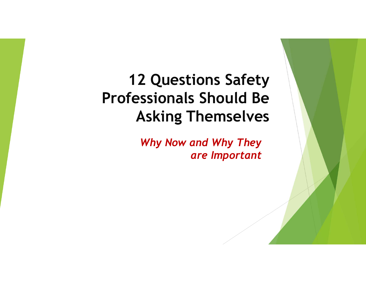# **12 Questions Safety Professionals Should Be Asking Themselves**

*Why Now and Why They are Important*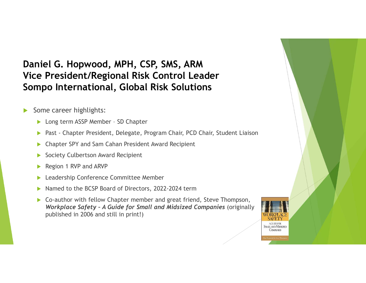#### **Daniel G. Hopwood, MPH, CSP, SMS, ARM Vice President/Regional Risk Control LeaderSompo International, Global Risk Solutions**

- $\blacktriangleright$  Some career highlights:
	- $\blacktriangleright$ Long term ASSP Member – SD Chapter
	- $\blacktriangleright$ Past - Chapter President, Delegate, Program Chair, PCD Chair, Student Liaison
	- $\blacktriangleright$ Chapter SPY and Sam Cahan President Award Recipient
	- $\blacktriangleright$ Society Culbertson Award Recipient
	- $\blacktriangleright$ Region 1 RVP and ARVP
	- $\blacktriangleright$ Leadership Conference Committee Member
	- $\blacktriangleright$ ▶ Named to the BCSP Board of Directors, 2022-2024 term
	- $\blacktriangleright$  Co-author with fellow Chapter member and great friend, Steve Thompson, *Workplace Safety – A Guide for Small and Midsized Companies* (originally published in 2006 and still in print!)

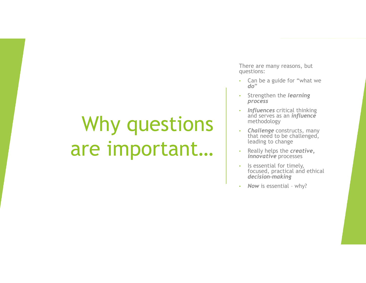# Why questions are important…

There are many reasons, but questions:

- Can be a guide for "what we *do*"•
- Strengthen the *learning process*
- *Influences* critical thinking and serves as an *influence*methodology
- **Challenge** constructs, many<br>that need to be shallenged that need to be challenged, leading to change
- Really helps the *creative, innovative* processes
- • Is essential for timely, focused, practical and ethical *decision-making*
- *Now* is essential why?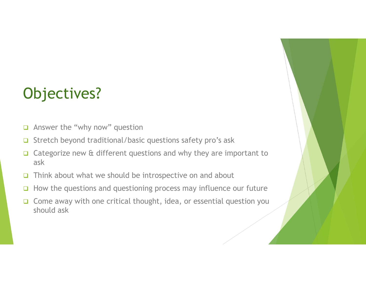# Objectives?

- $\Box$ Answer the "why now" question
- $\Box$ Stretch beyond traditional/basic questions safety pro's ask
- $\Box$  Categorize new & different questions and why they are important to ask
- $\Box$ Think about what we should be introspective on and about
- $\Box$ How the questions and questioning process may influence our future
- $\Box$  Come away with one critical thought, idea, or essential question you should ask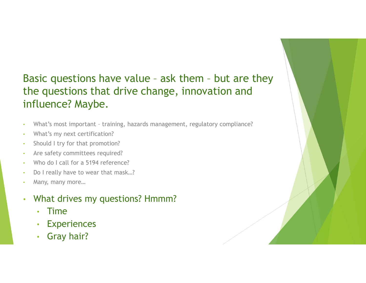#### Basic questions have value – ask them – but are they the questions that drive change, innovation and influence? Maybe.

- •What's most important – training, hazards management, regulatory compliance?
- •What's my next certification?
- •Should <sup>I</sup> try for that promotion?
- •Are safety committees required?
- •Who do I call for a 5194 reference?
- •Do I really have to wear that mask…?
- •Many, many more…
- • What drives my questions? Hmmm?
	- •Time
	- Experiences•
	- •Gray hair?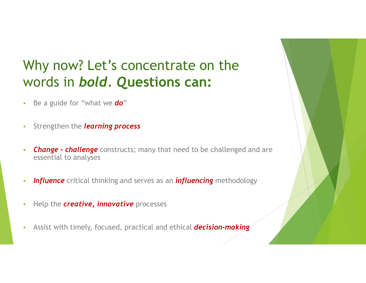#### Why now? Let's concentrate on the words in *bold. Q***uestions can:**

- $\mathbf{r}$ Be a guide for "what we *do*"
- $\mathcal{L}_{\mathcal{A}}$ Strengthen the *learning process*
- $\mathcal{L}_{\mathcal{A}}$  *Change - challenge* constructs; many that need to be challenged and are essential to analyses
- ×. *Influence* critical thinking and serves as an *influencing* methodology
- T. Help the *creative, innovative* processes
- $\overline{\phantom{a}}$ Assist with timely, focused, practical and ethical *decision-making*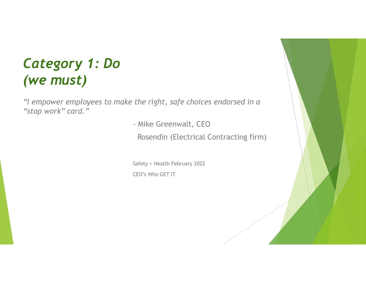#### *Category 1: Do (we must)*

*"I empower employees to make the right, safe choices endorsed in a "stop work" card."*

- Mike Greenwalt, CEO

Rosendin (Electrical Contracting firm)

Safety + Health February 2022CEO's Who GET IT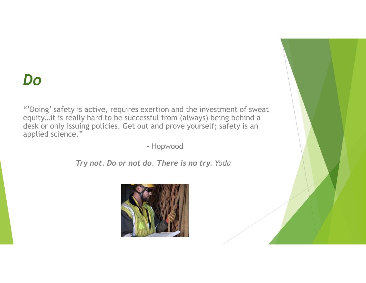### *Do*

"'Doing' safety is active, requires exertion and the investment of sweat equity…it is really hard to be successful from (always) being behind a desk or only issuing policies. Get out and prove yourself; safety is an applied science."

- Hopwood

*Try not. Do or not do. There is no try. Yoda*

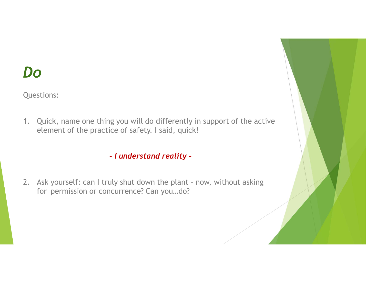### *Do*

Questions:

1. Quick, name one thing you will do differently in support of the active element of the practice of safety. I said, quick!

*- I understand reality –*

2. Ask yourself: can I truly shut down the plant – now, without asking for permission or concurrence? Can you…do?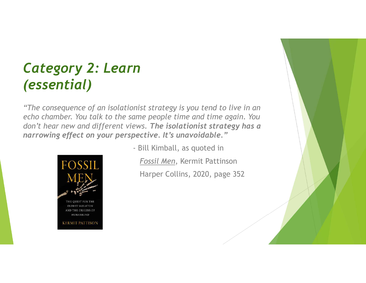### *Category 2: Learn (essential)*

*"The consequence of an isolationist strategy is you tend to live in an echo chamber. You talk to the same people time and time again. You don't hear new and different views. The isolationist strategy has a narrowing effect on your perspective. It's unavoidable."*



**OLDEST SKELETON** AND THE ORIGINS OF **HUMANKIND** 

**KERMIT PATTISON** 

- Bill Kimball, as quoted in*Fossil Men*, Kermit Pattinson

Harper Collins, 2020, page 352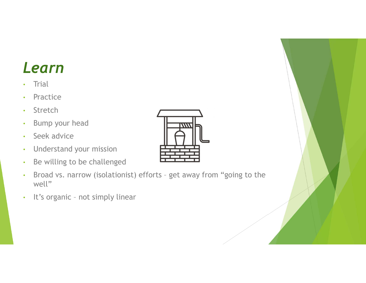# *Learn*

- •**Trial**
- •Practice
- •Stretch
- •Bump your head
- •Seek advice
- •Understand your mission
- •Be willing to be challenged
- • Broad vs. narrow (isolationist) efforts – get away from "going to the well"
- •It's organic – not simply linear

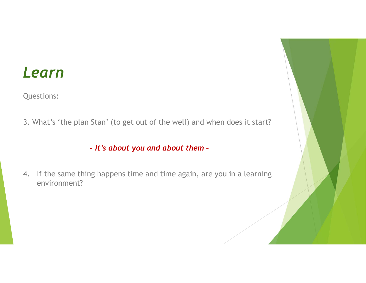#### *Learn*

Questions:

3. What's 'the plan Stan' (to get out of the well) and when does it start?

*- It's about you and about them –*

4. If the same thing happens time and time again, are you in a learning environment?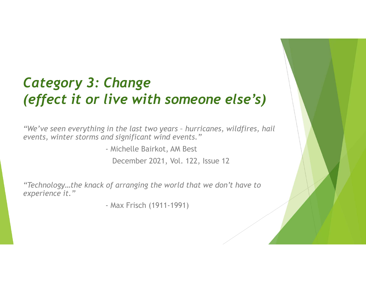# *Category 3: Change (effect it or live with someone else's)*

*"We've seen everything in the last two years – hurricanes, wildfires, hail events, winter storms and significant wind events."*

> - Michelle Bairkot, AM Best December 2021, Vol. 122, Issue <sup>12</sup>

*"Technology…the knack of arranging the world that we don't have to experience it."*

- Max Frisch (1911-1991)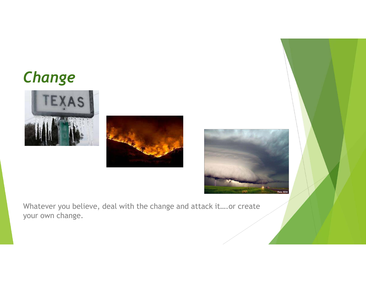# *Change*







Whatever you believe, deal with the change and attack it….or create your own change.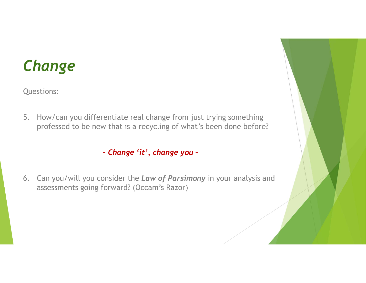# *Change*

Questions:

5. How/can you differentiate real change from just trying something professed to be new that is a recycling of what's been done before?

*- Change 'it', change you –*

6. Can you/will you consider the *Law of Parsimony* in your analysis and assessments going forward? (Occam's Razor)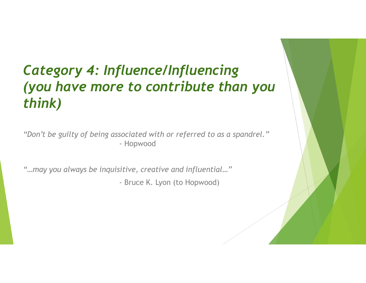### *Category 4: Influence/Influencing (you have more to contribute than you think)*

*"Don't be guilty of being associated with or referred to as a spandrel."*- Hopwood

*"…may you always be inquisitive, creative and influential…"*

- Bruce K. Lyon (to Hopwood)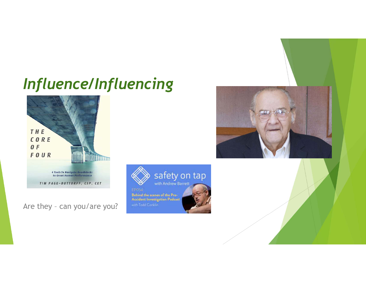# *Influence/Influencing*



Are they – can you/are you?



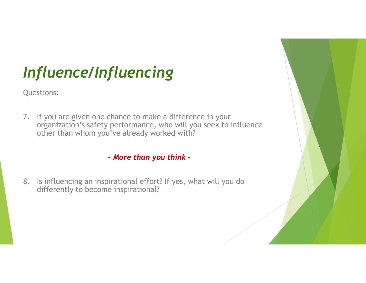# *Influence/Influencing*

Questions:

7. If you are given one chance to make a difference in your organization's safety performance, who will you seek to influence other than whom you've already worked with?

*- More than you think –*

8. Is influencing an inspirational effort? If yes, what will you do differently to become inspirational?

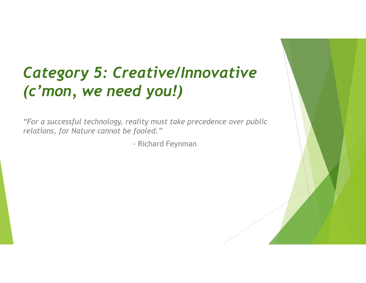# *Category 5: Creative/Innovative (c'mon, we need you!)*

*"For a successful technology, reality must take precedence over public relations, for Nature cannot be fooled."*

- Richard Feynman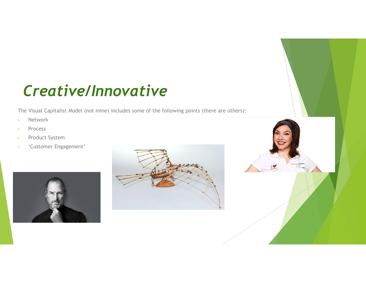# *Creative/Innovative*

The Visual Capitalist Model (not mine) includes some of the following points (there are others):

- •Network
- •Process
- •Product System
- 'Customer Engagement'•





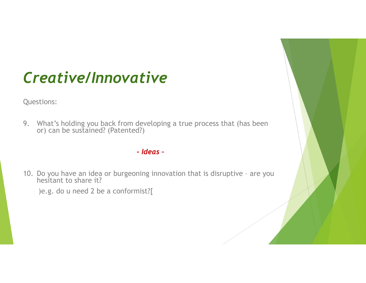# *Creative/Innovative*

Questions:

9. What's holding you back from developing a true process that (has been or) can be sustained? (Patented?)

#### *- Ideas –*

10. Do you have an idea or burgeoning innovation that is disruptive – are you hesitant to share it?

)e.g. do u need 2 be a conformist?[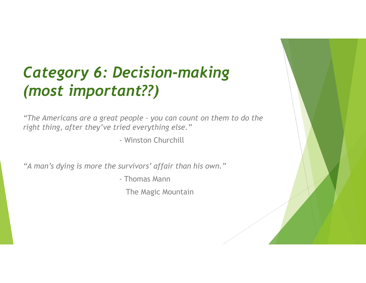# *Category 6: Decision-making (most important??)*

*"The Americans are a great people – you can count on them to do the right thing, after they've tried everything else."*

- Winston Churchill

*"A man's dying is more the survivors' affair than his own."*

- Thomas Mann

The Magic Mountain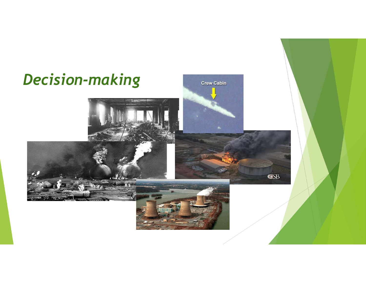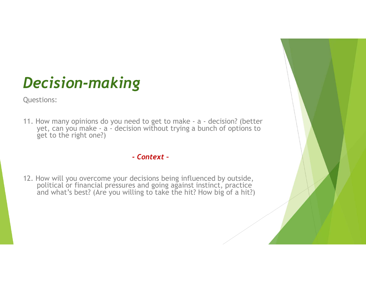# *Decision-making*

Questions:

11. How many opinions do you need to get to make - a - decision? (better yet, can you make - a - decision without trying a bunch of options to get to the right one?)

#### *- Context –*

12. How will you overcome your decisions being influenced by outside, political or financial pressures and going against instinct, practice and what's best? (Are you willing to take the hit? How big of a hit?)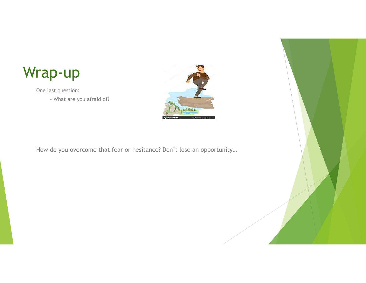

One last question:

- What are you afraid of?



How do you overcome that fear or hesitance? Don't lose an opportunity…

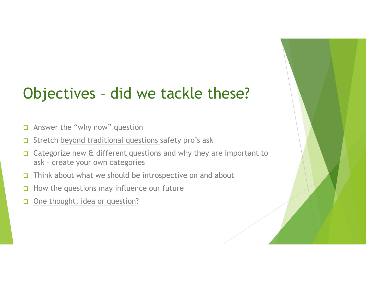# Objectives – did we tackle these?

- 0 Answer the "why now" question
- $\Box$ Stretch beyond traditional questions safety pro's ask
- $\Box$  Categorize new & different questions and why they are important to ask – create your own categories
- $\Box$ Think about what we should be introspective on and about
- 0 How the questions may influence our future
- $\Box$ One thought, idea or question?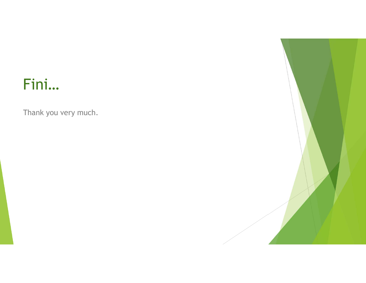# Fini…

Thank you very much.